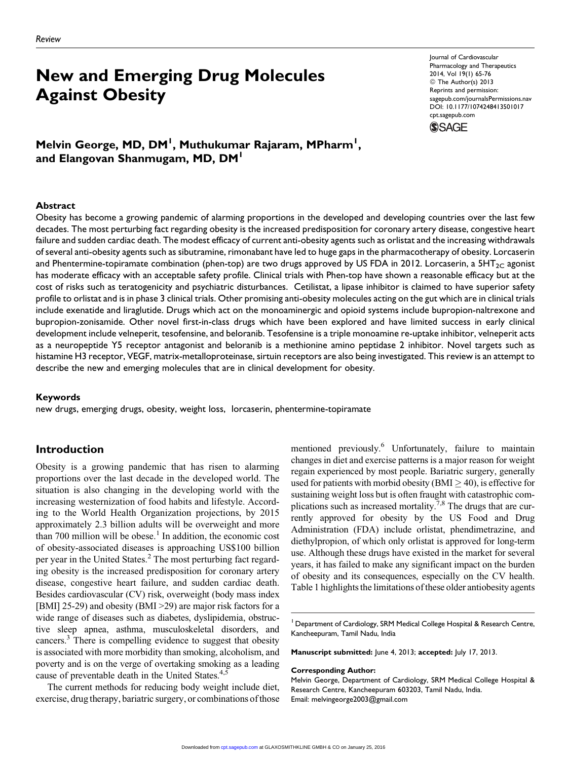# New and Emerging Drug Molecules Against Obesity

Journal of Cardiovascular Pharmacology and Therapeutics 2014, Vol 19(1) 65-76 © The Author(s) 2013 Reprints and permission: [sagepub.com/journalsPermissions.nav](http://www.sagepub.com/journalsPermissions.nav) DOI: 10.1177/1074248413501017 [cpt.sagepub.com](http://cpt.sagepub.com)

**SSAGE** 

Melvin George, MD, DM<sup>I</sup>, Muthukumar Rajaram, MPharm<sup>I</sup>, and Elangovan Shanmugam, MD, DM<sup>1</sup>

#### Abstract

Obesity has become a growing pandemic of alarming proportions in the developed and developing countries over the last few decades. The most perturbing fact regarding obesity is the increased predisposition for coronary artery disease, congestive heart failure and sudden cardiac death. The modest efficacy of current anti-obesity agents such as orlistat and the increasing withdrawals of several anti-obesity agents such as sibutramine, rimonabant have led to huge gaps in the pharmacotherapy of obesity. Lorcaserin and Phentermine-topiramate combination (phen-top) are two drugs approved by US FDA in 2012. Lorcaserin, a 5HT<sub>2C</sub> agonist has moderate efficacy with an acceptable safety profile. Clinical trials with Phen-top have shown a reasonable efficacy but at the cost of risks such as teratogenicity and psychiatric disturbances. Cetilistat, a lipase inhibitor is claimed to have superior safety profile to orlistat and is in phase 3 clinical trials. Other promising anti-obesity molecules acting on the gut which are in clinical trials include exenatide and liraglutide. Drugs which act on the monoaminergic and opioid systems include bupropion-naltrexone and bupropion-zonisamide. Other novel first-in-class drugs which have been explored and have limited success in early clinical development include velneperit, tesofensine, and beloranib. Tesofensine is a triple monoamine re-uptake inhibitor, velneperit acts as a neuropeptide Y5 receptor antagonist and beloranib is a methionine amino peptidase 2 inhibitor. Novel targets such as histamine H3 receptor, VEGF, matrix-metalloproteinase, sirtuin receptors are also being investigated. This review is an attempt to describe the new and emerging molecules that are in clinical development for obesity.

#### Keywords

new drugs, emerging drugs, obesity, weight loss, lorcaserin, phentermine-topiramate

## Introduction

Obesity is a growing pandemic that has risen to alarming proportions over the last decade in the developed world. The situation is also changing in the developing world with the increasing westernization of food habits and lifestyle. According to the World Health Organization projections, by 2015 approximately 2.3 billion adults will be overweight and more than 700 million will be obese.<sup>1</sup> In addition, the economic cost of obesity-associated diseases is approaching US\$100 billion per year in the United States.<sup>2</sup> The most perturbing fact regarding obesity is the increased predisposition for coronary artery disease, congestive heart failure, and sudden cardiac death. Besides cardiovascular (CV) risk, overweight (body mass index [BMI] 25-29) and obesity (BMI > 29) are major risk factors for a wide range of diseases such as diabetes, dyslipidemia, obstructive sleep apnea, asthma, musculoskeletal disorders, and cancers.<sup>3</sup> There is compelling evidence to suggest that obesity is associated with more morbidity than smoking, alcoholism, and poverty and is on the verge of overtaking smoking as a leading cause of preventable death in the United States.<sup>4,5</sup>

The current methods for reducing body weight include diet, exercise, drug therapy, bariatric surgery, or combinations of those mentioned previously.<sup>6</sup> Unfortunately, failure to maintain changes in diet and exercise patterns is a major reason for weight regain experienced by most people. Bariatric surgery, generally used for patients with morbid obesity (BMI  $\geq$  40), is effective for sustaining weight loss but is often fraught with catastrophic complications such as increased mortality.<sup>7,8</sup> The drugs that are currently approved for obesity by the US Food and Drug Administration (FDA) include orlistat, phendimetrazine, and diethylpropion, of which only orlistat is approved for long-term use. Although these drugs have existed in the market for several years, it has failed to make any significant impact on the burden of obesity and its consequences, especially on the CV health. Table 1 highlights the limitations of these older antiobesity agents

<sup>1</sup> Department of Cardiology, SRM Medical College Hospital & Research Centre, Kancheepuram, Tamil Nadu, India

Manuscript submitted: June 4, 2013; accepted: July 17, 2013.

Corresponding Author:

Melvin George, Department of Cardiology, SRM Medical College Hospital & Research Centre, Kancheepuram 603203, Tamil Nadu, India. Email: melvingeorge2003@gmail.com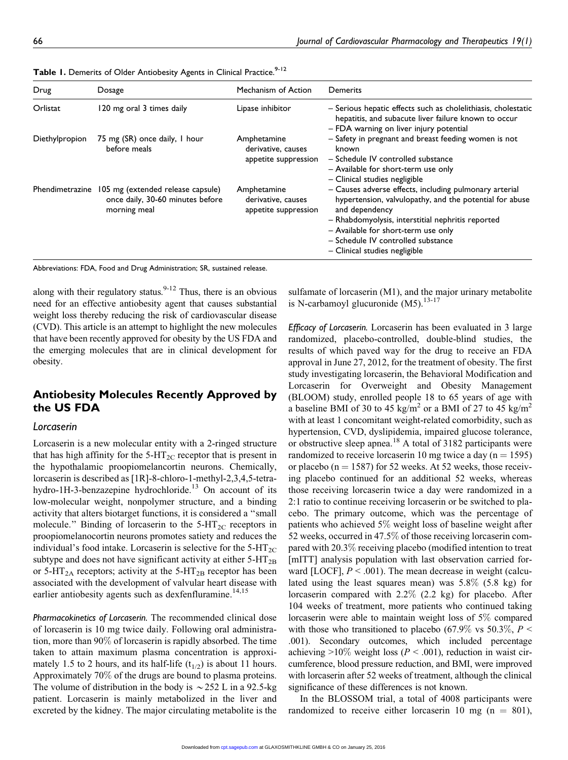| Drug           | Dosage                                                                                                | Mechanism of Action                                       | Demerits                                                                                                                                                                                                                                                                                               |
|----------------|-------------------------------------------------------------------------------------------------------|-----------------------------------------------------------|--------------------------------------------------------------------------------------------------------------------------------------------------------------------------------------------------------------------------------------------------------------------------------------------------------|
| Orlistat       | 120 mg oral 3 times daily                                                                             | Lipase inhibitor                                          | - Serious hepatic effects such as cholelithiasis, cholestatic<br>hepatitis, and subacute liver failure known to occur<br>- FDA warning on liver injury potential                                                                                                                                       |
| Diethylpropion | 75 mg (SR) once daily, I hour<br>before meals                                                         | Amphetamine<br>derivative, causes<br>appetite suppression | - Safety in pregnant and breast feeding women is not<br>known<br>- Schedule IV controlled substance<br>- Available for short-term use only<br>- Clinical studies negligible                                                                                                                            |
|                | Phendimetrazine 105 mg (extended release capsule)<br>once daily, 30-60 minutes before<br>morning meal | Amphetamine<br>derivative, causes<br>appetite suppression | - Causes adverse effects, including pulmonary arterial<br>hypertension, valvulopathy, and the potential for abuse<br>and dependency<br>- Rhabdomyolysis, interstitial nephritis reported<br>- Available for short-term use only<br>- Schedule IV controlled substance<br>- Clinical studies negligible |

Table 1. Demerits of Older Antiobesity Agents in Clinical Practice.<sup>9-12</sup>

Abbreviations: FDA, Food and Drug Administration; SR, sustained release.

along with their regulatory status. $9-12$  Thus, there is an obvious need for an effective antiobesity agent that causes substantial weight loss thereby reducing the risk of cardiovascular disease (CVD). This article is an attempt to highlight the new molecules that have been recently approved for obesity by the US FDA and the emerging molecules that are in clinical development for obesity.

# Antiobesity Molecules Recently Approved by the US FDA

### Lorcaserin

Lorcaserin is a new molecular entity with a 2-ringed structure that has high affinity for the  $5-\text{HT}_{2C}$  receptor that is present in the hypothalamic proopiomelancortin neurons. Chemically, lorcaserin is described as [1R]-8-chloro-1-methyl-2,3,4,5-tetrahydro-1H-3-benzazepine hydrochloride.<sup>13</sup> On account of its low-molecular weight, nonpolymer structure, and a binding activity that alters biotarget functions, it is considered a ''small molecule." Binding of lorcaserin to the  $5-\text{HT}_{2C}$  receptors in proopiomelanocortin neurons promotes satiety and reduces the individual's food intake. Lorcaserin is selective for the  $5-HT_{2C}$ subtype and does not have significant activity at either  $5-HT_{2B}$ or 5-HT<sub>2A</sub> receptors; activity at the 5-HT<sub>2B</sub> receptor has been associated with the development of valvular heart disease with earlier antiobesity agents such as dexfenfluramine.<sup>14,15</sup>

Pharmacokinetics of Lorcaserin. The recommended clinical dose of lorcaserin is 10 mg twice daily. Following oral administration, more than 90% of lorcaserin is rapidly absorbed. The time taken to attain maximum plasma concentration is approximately 1.5 to 2 hours, and its half-life  $(t_{1/2})$  is about 11 hours. Approximately 70% of the drugs are bound to plasma proteins. The volume of distribution in the body is  $\sim$  252 L in a 92.5-kg patient. Lorcaserin is mainly metabolized in the liver and excreted by the kidney. The major circulating metabolite is the sulfamate of lorcaserin (M1), and the major urinary metabolite is N-carbamoyl glucuronide  $(M5)$ .<sup>13-17</sup>

Efficacy of Lorcaserin. Lorcaserin has been evaluated in 3 large randomized, placebo-controlled, double-blind studies, the results of which paved way for the drug to receive an FDA approval in June 27, 2012, for the treatment of obesity. The first study investigating lorcaserin, the Behavioral Modification and Lorcaserin for Overweight and Obesity Management (BLOOM) study, enrolled people 18 to 65 years of age with a baseline BMI of 30 to 45 kg/m<sup>2</sup> or a BMI of 27 to 45 kg/m<sup>2</sup> with at least 1 concomitant weight-related comorbidity, such as hypertension, CVD, dyslipidemia, impaired glucose tolerance, or obstructive sleep apnea.<sup>18</sup> A total of 3182 participants were randomized to receive lorcaserin 10 mg twice a day ( $n = 1595$ ) or placebo ( $n = 1587$ ) for 52 weeks. At 52 weeks, those receiving placebo continued for an additional 52 weeks, whereas those receiving lorcaserin twice a day were randomized in a 2:1 ratio to continue receiving lorcaserin or be switched to placebo. The primary outcome, which was the percentage of patients who achieved 5% weight loss of baseline weight after 52 weeks, occurred in 47.5% of those receiving lorcaserin compared with 20.3% receiving placebo (modified intention to treat [mITT] analysis population with last observation carried forward [LOCF],  $P < .001$ ). The mean decrease in weight (calculated using the least squares mean) was 5.8% (5.8 kg) for lorcaserin compared with 2.2% (2.2 kg) for placebo. After 104 weeks of treatment, more patients who continued taking lorcaserin were able to maintain weight loss of 5% compared with those who transitioned to placebo (67.9% vs 50.3%,  $P \leq$ .001). Secondary outcomes, which included percentage achieving  $>10\%$  weight loss ( $P < .001$ ), reduction in waist circumference, blood pressure reduction, and BMI, were improved with lorcaserin after 52 weeks of treatment, although the clinical significance of these differences is not known.

In the BLOSSOM trial, a total of 4008 participants were randomized to receive either lorcaserin 10 mg ( $n = 801$ ),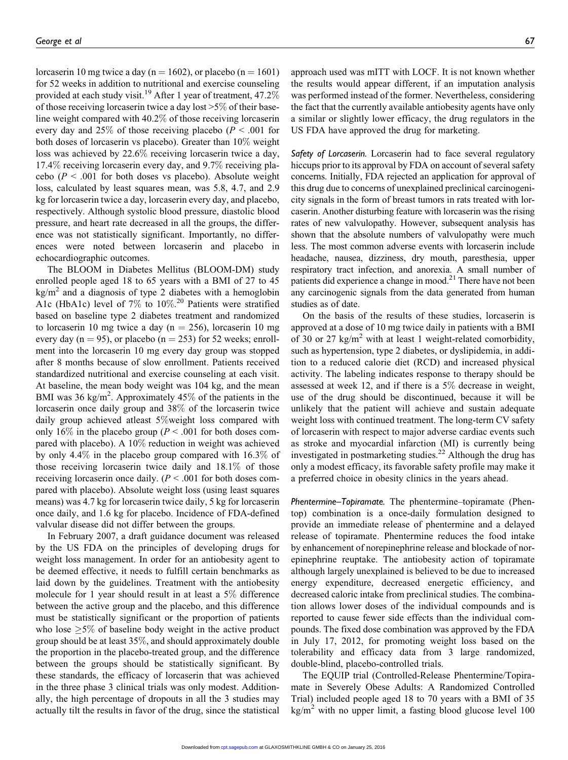lorcaserin 10 mg twice a day (n = 1602), or placebo (n = 1601) for 52 weeks in addition to nutritional and exercise counseling provided at each study visit.<sup>19</sup> After 1 year of treatment,  $47.2\%$ of those receiving lorcaserin twice a day lost >5% of their baseline weight compared with 40.2% of those receiving lorcaserin every day and 25% of those receiving placebo ( $P < .001$  for both doses of lorcaserin vs placebo). Greater than 10% weight loss was achieved by 22.6% receiving lorcaserin twice a day, 17.4% receiving lorcaserin every day, and 9.7% receiving placebo ( $P < .001$  for both doses vs placebo). Absolute weight loss, calculated by least squares mean, was 5.8, 4.7, and 2.9 kg for lorcaserin twice a day, lorcaserin every day, and placebo, respectively. Although systolic blood pressure, diastolic blood pressure, and heart rate decreased in all the groups, the difference was not statistically significant. Importantly, no differences were noted between lorcaserin and placebo in echocardiographic outcomes.

The BLOOM in Diabetes Mellitus (BLOOM-DM) study enrolled people aged 18 to 65 years with a BMI of 27 to 45  $kg/m<sup>2</sup>$  and a diagnosis of type 2 diabetes with a hemoglobin A1c (HbA1c) level of 7% to 10%. <sup>20</sup> Patients were stratified based on baseline type 2 diabetes treatment and randomized to lorcaserin 10 mg twice a day ( $n = 256$ ), lorcaserin 10 mg every day (n = 95), or placebo (n = 253) for 52 weeks; enrollment into the lorcaserin 10 mg every day group was stopped after 8 months because of slow enrollment. Patients received standardized nutritional and exercise counseling at each visit. At baseline, the mean body weight was 104 kg, and the mean BMI was 36 kg/m<sup>2</sup>. Approximately 45% of the patients in the lorcaserin once daily group and 38% of the lorcaserin twice daily group achieved atleast 5%weight loss compared with only 16% in the placebo group ( $P < .001$  for both doses compared with placebo). A 10% reduction in weight was achieved by only 4.4% in the placebo group compared with 16.3% of those receiving lorcaserin twice daily and 18.1% of those receiving lorcaserin once daily.  $(P \le 0.001$  for both doses compared with placebo). Absolute weight loss (using least squares means) was 4.7 kg for lorcaserin twice daily, 5 kg for lorcaserin once daily, and 1.6 kg for placebo. Incidence of FDA-defined valvular disease did not differ between the groups.

In February 2007, a draft guidance document was released by the US FDA on the principles of developing drugs for weight loss management. In order for an antiobesity agent to be deemed effective, it needs to fulfill certain benchmarks as laid down by the guidelines. Treatment with the antiobesity molecule for 1 year should result in at least a 5% difference between the active group and the placebo, and this difference must be statistically significant or the proportion of patients who lose  $\geq$ 5% of baseline body weight in the active product group should be at least 35%, and should approximately double the proportion in the placebo-treated group, and the difference between the groups should be statistically significant. By these standards, the efficacy of lorcaserin that was achieved in the three phase 3 clinical trials was only modest. Additionally, the high percentage of dropouts in all the 3 studies may actually tilt the results in favor of the drug, since the statistical approach used was mITT with LOCF. It is not known whether the results would appear different, if an imputation analysis was performed instead of the former. Nevertheless, considering the fact that the currently available antiobesity agents have only a similar or slightly lower efficacy, the drug regulators in the US FDA have approved the drug for marketing.

Safety of Lorcaserin. Lorcaserin had to face several regulatory hiccups prior to its approval by FDA on account of several safety concerns. Initially, FDA rejected an application for approval of this drug due to concerns of unexplained preclinical carcinogenicity signals in the form of breast tumors in rats treated with lorcaserin. Another disturbing feature with lorcaserin was the rising rates of new valvulopathy. However, subsequent analysis has shown that the absolute numbers of valvulopathy were much less. The most common adverse events with lorcaserin include headache, nausea, dizziness, dry mouth, paresthesia, upper respiratory tract infection, and anorexia. A small number of patients did experience a change in mood.<sup>21</sup> There have not been any carcinogenic signals from the data generated from human studies as of date.

On the basis of the results of these studies, lorcaserin is approved at a dose of 10 mg twice daily in patients with a BMI of 30 or 27 kg/m<sup>2</sup> with at least 1 weight-related comorbidity, such as hypertension, type 2 diabetes, or dyslipidemia, in addition to a reduced calorie diet (RCD) and increased physical activity. The labeling indicates response to therapy should be assessed at week 12, and if there is a 5% decrease in weight, use of the drug should be discontinued, because it will be unlikely that the patient will achieve and sustain adequate weight loss with continued treatment. The long-term CV safety of lorcaserin with respect to major adverse cardiac events such as stroke and myocardial infarction (MI) is currently being investigated in postmarketing studies. $^{22}$  Although the drug has only a modest efficacy, its favorable safety profile may make it a preferred choice in obesity clinics in the years ahead.

Phentermine–Topiramate. The phentermine–topiramate (Phentop) combination is a once-daily formulation designed to provide an immediate release of phentermine and a delayed release of topiramate. Phentermine reduces the food intake by enhancement of norepinephrine release and blockade of norepinephrine reuptake. The antiobesity action of topiramate although largely unexplained is believed to be due to increased energy expenditure, decreased energetic efficiency, and decreased caloric intake from preclinical studies. The combination allows lower doses of the individual compounds and is reported to cause fewer side effects than the individual compounds. The fixed dose combination was approved by the FDA in July 17, 2012, for promoting weight loss based on the tolerability and efficacy data from 3 large randomized, double-blind, placebo-controlled trials.

The EQUIP trial (Controlled-Release Phentermine/Topiramate in Severely Obese Adults: A Randomized Controlled Trial) included people aged 18 to 70 years with a BMI of 35  $kg/m<sup>2</sup>$  with no upper limit, a fasting blood glucose level 100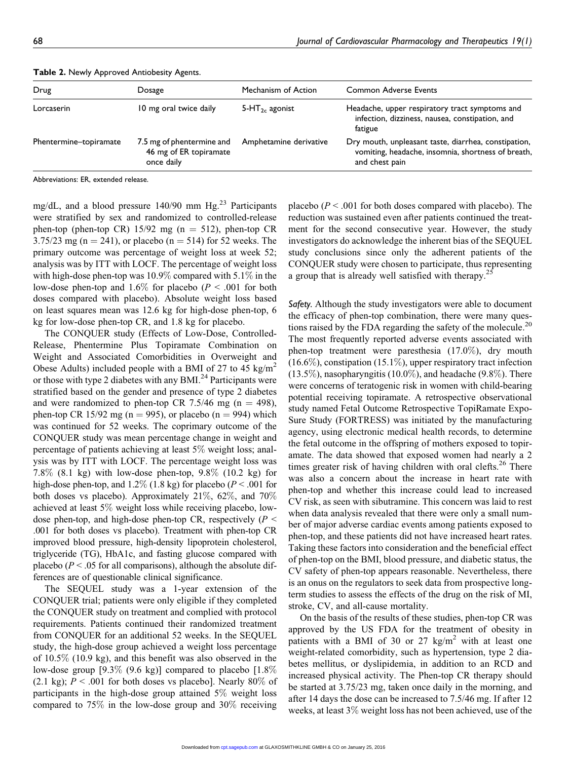| Drug                   | Dosage                                                            | Mechanism of Action        | <b>Common Adverse Events</b>                                                                                                 |
|------------------------|-------------------------------------------------------------------|----------------------------|------------------------------------------------------------------------------------------------------------------------------|
| Lorcaserin             | 10 mg oral twice daily                                            | 5-HT <sub>2c</sub> agonist | Headache, upper respiratory tract symptoms and<br>infection, dizziness, nausea, constipation, and<br>fatigue                 |
| Phentermine-topiramate | 7.5 mg of phentermine and<br>46 mg of ER topiramate<br>once daily | Amphetamine derivative     | Dry mouth, unpleasant taste, diarrhea, constipation,<br>vomiting, headache, insomnia, shortness of breath,<br>and chest pain |

Table 2. Newly Approved Antiobesity Agents.

Abbreviations: ER, extended release.

mg/dL, and a blood pressure  $140/90$  mm Hg.<sup>23</sup> Participants were stratified by sex and randomized to controlled-release phen-top (phen-top CR) 15/92 mg ( $n = 512$ ), phen-top CR 3.75/23 mg (n = 241), or placebo (n = 514) for 52 weeks. The primary outcome was percentage of weight loss at week 52; analysis was by ITT with LOCF. The percentage of weight loss with high-dose phen-top was  $10.9\%$  compared with  $5.1\%$  in the low-dose phen-top and 1.6% for placebo ( $P < .001$  for both doses compared with placebo). Absolute weight loss based on least squares mean was 12.6 kg for high-dose phen-top, 6 kg for low-dose phen-top CR, and 1.8 kg for placebo.

The CONQUER study (Effects of Low-Dose, Controlled-Release, Phentermine Plus Topiramate Combination on Weight and Associated Comorbidities in Overweight and Obese Adults) included people with a BMI of 27 to 45 kg/m<sup>2</sup> or those with type 2 diabetes with any BMI. $^{24}$  Participants were stratified based on the gender and presence of type 2 diabetes and were randomized to phen-top CR 7.5/46 mg ( $n = 498$ ), phen-top CR 15/92 mg (n = 995), or placebo (n = 994) which was continued for 52 weeks. The coprimary outcome of the CONQUER study was mean percentage change in weight and percentage of patients achieving at least 5% weight loss; analysis was by ITT with LOCF. The percentage weight loss was 7.8% (8.1 kg) with low-dose phen-top, 9.8% (10.2 kg) for high-dose phen-top, and  $1.2\%$  (1.8 kg) for placebo ( $P < .001$  for both doses vs placebo). Approximately 21%, 62%, and 70% achieved at least 5% weight loss while receiving placebo, lowdose phen-top, and high-dose phen-top CR, respectively ( $P \leq$ .001 for both doses vs placebo). Treatment with phen-top CR improved blood pressure, high-density lipoprotein cholesterol, triglyceride (TG), HbA1c, and fasting glucose compared with placebo ( $P < .05$  for all comparisons), although the absolute differences are of questionable clinical significance.

The SEQUEL study was a 1-year extension of the CONQUER trial; patients were only eligible if they completed the CONQUER study on treatment and complied with protocol requirements. Patients continued their randomized treatment from CONQUER for an additional 52 weeks. In the SEQUEL study, the high-dose group achieved a weight loss percentage of 10.5% (10.9 kg), and this benefit was also observed in the low-dose group [9.3% (9.6 kg)] compared to placebo [1.8% (2.1 kg);  $P < .001$  for both doses vs placebo]. Nearly 80% of participants in the high-dose group attained 5% weight loss compared to 75% in the low-dose group and 30% receiving

placebo ( $P < .001$  for both doses compared with placebo). The reduction was sustained even after patients continued the treatment for the second consecutive year. However, the study investigators do acknowledge the inherent bias of the SEQUEL study conclusions since only the adherent patients of the CONQUER study were chosen to participate, thus representing a group that is already well satisfied with therapy.<sup>25</sup>

Safety. Although the study investigators were able to document the efficacy of phen-top combination, there were many questions raised by the FDA regarding the safety of the molecule.<sup>20</sup> The most frequently reported adverse events associated with phen-top treatment were paresthesia (17.0%), dry mouth (16.6%), constipation (15.1%), upper respiratory tract infection  $(13.5\%)$ , nasopharyngitis  $(10.0\%)$ , and headache  $(9.8\%)$ . There were concerns of teratogenic risk in women with child-bearing potential receiving topiramate. A retrospective observational study named Fetal Outcome Retrospective TopiRamate Expo-Sure Study (FORTRESS) was initiated by the manufacturing agency, using electronic medical health records, to determine the fetal outcome in the offspring of mothers exposed to topiramate. The data showed that exposed women had nearly a 2 times greater risk of having children with oral clefts.<sup>26</sup> There was also a concern about the increase in heart rate with phen-top and whether this increase could lead to increased CV risk, as seen with sibutramine. This concern was laid to rest when data analysis revealed that there were only a small number of major adverse cardiac events among patients exposed to phen-top, and these patients did not have increased heart rates. Taking these factors into consideration and the beneficial effect of phen-top on the BMI, blood pressure, and diabetic status, the CV safety of phen-top appears reasonable. Nevertheless, there is an onus on the regulators to seek data from prospective longterm studies to assess the effects of the drug on the risk of MI, stroke, CV, and all-cause mortality.

On the basis of the results of these studies, phen-top CR was approved by the US FDA for the treatment of obesity in patients with a BMI of 30 or 27  $\text{kg/m}^2$  with at least one weight-related comorbidity, such as hypertension, type 2 diabetes mellitus, or dyslipidemia, in addition to an RCD and increased physical activity. The Phen-top CR therapy should be started at 3.75/23 mg, taken once daily in the morning, and after 14 days the dose can be increased to 7.5/46 mg. If after 12 weeks, at least 3% weight loss has not been achieved, use of the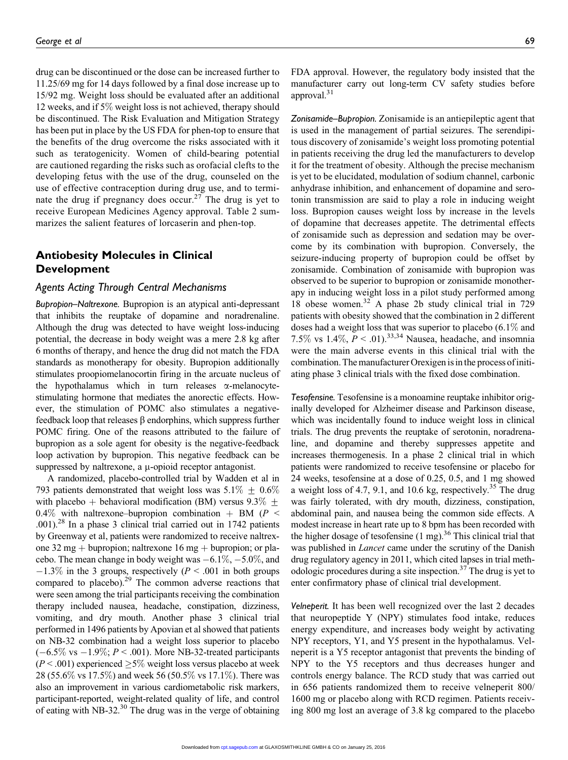drug can be discontinued or the dose can be increased further to 11.25/69 mg for 14 days followed by a final dose increase up to 15/92 mg. Weight loss should be evaluated after an additional 12 weeks, and if 5% weight loss is not achieved, therapy should be discontinued. The Risk Evaluation and Mitigation Strategy has been put in place by the US FDA for phen-top to ensure that the benefits of the drug overcome the risks associated with it such as teratogenicity. Women of child-bearing potential are cautioned regarding the risks such as orofacial clefts to the developing fetus with the use of the drug, counseled on the use of effective contraception during drug use, and to terminate the drug if pregnancy does occur.<sup>27</sup> The drug is yet to receive European Medicines Agency approval. Table 2 summarizes the salient features of lorcaserin and phen-top.

# Antiobesity Molecules in Clinical Development

## Agents Acting Through Central Mechanisms

Bupropion–Naltrexone. Bupropion is an atypical anti-depressant that inhibits the reuptake of dopamine and noradrenaline. Although the drug was detected to have weight loss-inducing potential, the decrease in body weight was a mere 2.8 kg after 6 months of therapy, and hence the drug did not match the FDA standards as monotherapy for obesity. Bupropion additionally stimulates proopiomelanocortin firing in the arcuate nucleus of the hypothalamus which in turn releases  $\alpha$ -melanocytestimulating hormone that mediates the anorectic effects. However, the stimulation of POMC also stimulates a negativefeedback loop that releases  $\beta$  endorphins, which suppress further POMC firing. One of the reasons attributed to the failure of bupropion as a sole agent for obesity is the negative-feedback loop activation by bupropion. This negative feedback can be suppressed by naltrexone, a  $\mu$ -opioid receptor antagonist.

A randomized, placebo-controlled trial by Wadden et al in 793 patients demonstrated that weight loss was  $5.1\% \pm 0.6\%$ with placebo + behavioral modification (BM) versus 9.3%  $+$ 0.4% with naltrexone–bupropion combination + BM ( $P \le$ .001).28 In a phase 3 clinical trial carried out in 1742 patients by Greenway et al, patients were randomized to receive naltrexone 32 mg + bupropion; naltrexone 16 mg + bupropion; or placebo. The mean change in body weight was  $-6.1\%$ ,  $-5.0\%$ , and  $-1.3\%$  in the 3 groups, respectively ( $P < .001$  in both groups compared to placebo).<sup>29</sup> The common adverse reactions that were seen among the trial participants receiving the combination therapy included nausea, headache, constipation, dizziness, vomiting, and dry mouth. Another phase 3 clinical trial performed in 1496 patients by Apovian et al showed that patients on NB-32 combination had a weight loss superior to placebo  $(-6.5\% \text{ vs } -1.9\%; P < .001)$ . More NB-32-treated participants  $(P < .001)$  experienced  $\geq 5\%$  weight loss versus placebo at week 28 (55.6% vs 17.5%) and week 56 (50.5% vs 17.1%). There was also an improvement in various cardiometabolic risk markers, participant-reported, weight-related quality of life, and control of eating with NB-32. $30$  The drug was in the verge of obtaining

FDA approval. However, the regulatory body insisted that the manufacturer carry out long-term CV safety studies before approval.<sup>31</sup>

Zonisamide–Bupropion. Zonisamide is an antiepileptic agent that is used in the management of partial seizures. The serendipitous discovery of zonisamide's weight loss promoting potential in patients receiving the drug led the manufacturers to develop it for the treatment of obesity. Although the precise mechanism is yet to be elucidated, modulation of sodium channel, carbonic anhydrase inhibition, and enhancement of dopamine and serotonin transmission are said to play a role in inducing weight loss. Bupropion causes weight loss by increase in the levels of dopamine that decreases appetite. The detrimental effects of zonisamide such as depression and sedation may be overcome by its combination with bupropion. Conversely, the seizure-inducing property of bupropion could be offset by zonisamide. Combination of zonisamide with bupropion was observed to be superior to bupropion or zonisamide monotherapy in inducing weight loss in a pilot study performed among 18 obese women.<sup>32</sup> A phase 2b study clinical trial in 729 patients with obesity showed that the combination in 2 different doses had a weight loss that was superior to placebo (6.1% and 7.5% vs 1.4%,  $P < .01$ ).<sup>33,34</sup> Nausea, headache, and insomnia were the main adverse events in this clinical trial with the combination. The manufacturer Orexigen is in the process of initiating phase 3 clinical trials with the fixed dose combination.

Tesofensine. Tesofensine is a monoamine reuptake inhibitor originally developed for Alzheimer disease and Parkinson disease, which was incidentally found to induce weight loss in clinical trials. The drug prevents the reuptake of serotonin, noradrenaline, and dopamine and thereby suppresses appetite and increases thermogenesis. In a phase 2 clinical trial in which patients were randomized to receive tesofensine or placebo for 24 weeks, tesofensine at a dose of 0.25, 0.5, and 1 mg showed a weight loss of 4.7, 9.1, and 10.6 kg, respectively.<sup>35</sup> The drug was fairly tolerated, with dry mouth, dizziness, constipation, abdominal pain, and nausea being the common side effects. A modest increase in heart rate up to 8 bpm has been recorded with the higher dosage of tesofensine  $(1 \text{ mg})$ .<sup>36</sup> This clinical trial that was published in *Lancet* came under the scrutiny of the Danish drug regulatory agency in 2011, which cited lapses in trial methodologic procedures during a site inspection.<sup>37</sup> The drug is yet to enter confirmatory phase of clinical trial development.

Velneperit. It has been well recognized over the last 2 decades that neuropeptide Y (NPY) stimulates food intake, reduces energy expenditure, and increases body weight by activating NPY receptors, Y1, and Y5 present in the hypothalamus. Velneperit is a Y5 receptor antagonist that prevents the binding of NPY to the Y5 receptors and thus decreases hunger and controls energy balance. The RCD study that was carried out in 656 patients randomized them to receive velneperit 800/ 1600 mg or placebo along with RCD regimen. Patients receiving 800 mg lost an average of 3.8 kg compared to the placebo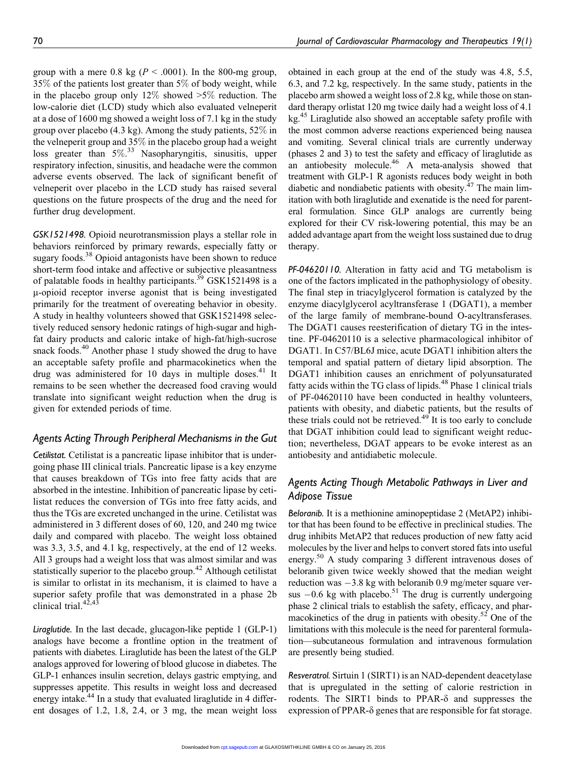group with a mere 0.8 kg ( $P < .0001$ ). In the 800-mg group, 35% of the patients lost greater than 5% of body weight, while in the placebo group only 12% showed  $>5\%$  reduction. The low-calorie diet (LCD) study which also evaluated velneperit at a dose of 1600 mg showed a weight loss of 7.1 kg in the study group over placebo (4.3 kg). Among the study patients, 52% in the velneperit group and 35% in the placebo group had a weight loss greater than 5%.<sup>33</sup> Nasopharyngitis, sinusitis, upper respiratory infection, sinusitis, and headache were the common adverse events observed. The lack of significant benefit of velneperit over placebo in the LCD study has raised several questions on the future prospects of the drug and the need for further drug development.

GSK1521498. Opioid neurotransmission plays a stellar role in behaviors reinforced by primary rewards, especially fatty or sugary foods.<sup>38</sup> Opioid antagonists have been shown to reduce short-term food intake and affective or subjective pleasantness of palatable foods in healthy participants.<sup>39</sup> GSK1521498 is a m-opioid receptor inverse agonist that is being investigated primarily for the treatment of overeating behavior in obesity. A study in healthy volunteers showed that GSK1521498 selectively reduced sensory hedonic ratings of high-sugar and highfat dairy products and caloric intake of high-fat/high-sucrose snack foods.<sup>40</sup> Another phase 1 study showed the drug to have an acceptable safety profile and pharmacokinetics when the drug was administered for 10 days in multiple doses. $41$  It remains to be seen whether the decreased food craving would translate into significant weight reduction when the drug is given for extended periods of time.

# Agents Acting Through Peripheral Mechanisms in the Gut

Cetilistat. Cetilistat is a pancreatic lipase inhibitor that is undergoing phase III clinical trials. Pancreatic lipase is a key enzyme that causes breakdown of TGs into free fatty acids that are absorbed in the intestine. Inhibition of pancreatic lipase by cetilistat reduces the conversion of TGs into free fatty acids, and thus the TGs are excreted unchanged in the urine. Cetilistat was administered in 3 different doses of 60, 120, and 240 mg twice daily and compared with placebo. The weight loss obtained was 3.3, 3.5, and 4.1 kg, respectively, at the end of 12 weeks. All 3 groups had a weight loss that was almost similar and was statistically superior to the placebo group.<sup>42</sup> Although cetilistat is similar to orlistat in its mechanism, it is claimed to have a superior safety profile that was demonstrated in a phase 2b clinical trial. $42,43$ 

Liraglutide. In the last decade, glucagon-like peptide 1 (GLP-1) analogs have become a frontline option in the treatment of patients with diabetes. Liraglutide has been the latest of the GLP analogs approved for lowering of blood glucose in diabetes. The GLP-1 enhances insulin secretion, delays gastric emptying, and suppresses appetite. This results in weight loss and decreased energy intake.<sup>44</sup> In a study that evaluated liraglutide in 4 different dosages of 1.2, 1.8, 2.4, or 3 mg, the mean weight loss obtained in each group at the end of the study was 4.8, 5.5, 6.3, and 7.2 kg, respectively. In the same study, patients in the placebo arm showed a weight loss of 2.8 kg, while those on standard therapy orlistat 120 mg twice daily had a weight loss of 4.1 kg.45 Liraglutide also showed an acceptable safety profile with the most common adverse reactions experienced being nausea and vomiting. Several clinical trials are currently underway (phases 2 and 3) to test the safety and efficacy of liraglutide as an antiobesity molecule. $46$  A meta-analysis showed that treatment with GLP-1 R agonists reduces body weight in both diabetic and nondiabetic patients with obesity.<sup>47</sup> The main limitation with both liraglutide and exenatide is the need for parenteral formulation. Since GLP analogs are currently being explored for their CV risk-lowering potential, this may be an added advantage apart from the weight loss sustained due to drug therapy.

PF-04620110. Alteration in fatty acid and TG metabolism is one of the factors implicated in the pathophysiology of obesity. The final step in triacylglycerol formation is catalyzed by the enzyme diacylglycerol acyltransferase 1 (DGAT1), a member of the large family of membrane-bound O-acyltransferases. The DGAT1 causes reesterification of dietary TG in the intestine. PF-04620110 is a selective pharmacological inhibitor of DGAT1. In C57/BL6J mice, acute DGAT1 inhibition alters the temporal and spatial pattern of dietary lipid absorption. The DGAT1 inhibition causes an enrichment of polyunsaturated fatty acids within the TG class of lipids.<sup>48</sup> Phase 1 clinical trials of PF-04620110 have been conducted in healthy volunteers, patients with obesity, and diabetic patients, but the results of these trials could not be retrieved. $49^{\circ}$  It is too early to conclude that DGAT inhibition could lead to significant weight reduction; nevertheless, DGAT appears to be evoke interest as an antiobesity and antidiabetic molecule.

# Agents Acting Though Metabolic Pathways in Liver and Adipose Tissue

Beloranib. It is a methionine aminopeptidase 2 (MetAP2) inhibitor that has been found to be effective in preclinical studies. The drug inhibits MetAP2 that reduces production of new fatty acid molecules by the liver and helps to convert stored fats into useful energy.<sup>50</sup> A study comparing 3 different intravenous doses of beloranib given twice weekly showed that the median weight reduction was  $-3.8$  kg with beloranib 0.9 mg/meter square versus  $-0.6$  kg with placebo.<sup>51</sup> The drug is currently undergoing phase 2 clinical trials to establish the safety, efficacy, and pharmacokinetics of the drug in patients with obesity.<sup>52</sup> One of the limitations with this molecule is the need for parenteral formulation—subcutaneous formulation and intravenous formulation are presently being studied.

Resveratrol. Sirtuin 1 (SIRT1) is an NAD-dependent deacetylase that is upregulated in the setting of calorie restriction in rodents. The SIRT1 binds to PPAR- $\delta$  and suppresses the expression of PPAR- $\delta$  genes that are responsible for fat storage.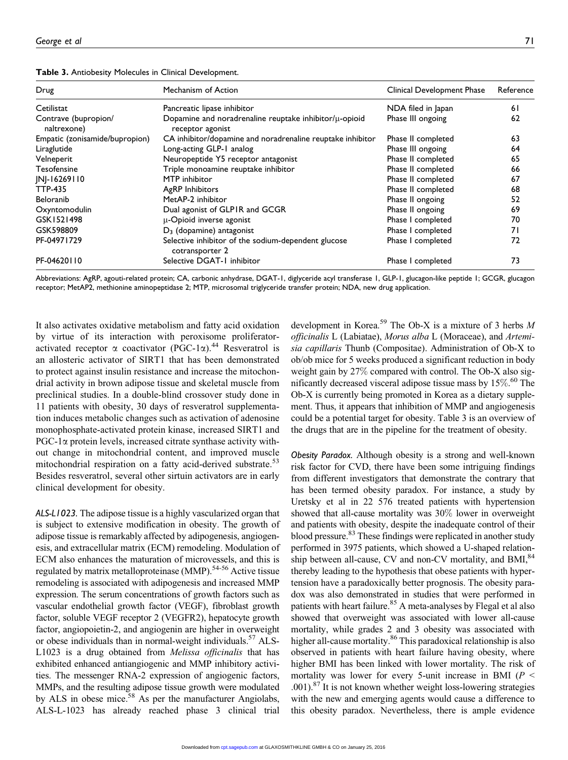| Drug                                | Mechanism of Action                                                        | Clinical Development Phase | Reference |
|-------------------------------------|----------------------------------------------------------------------------|----------------------------|-----------|
| Cetilistat                          | Pancreatic lipase inhibitor                                                | NDA filed in Japan         | 61        |
| Contrave (bupropion/<br>naltrexone) | Dopamine and noradrenaline reuptake inhibitor/µ-opioid<br>receptor agonist | Phase III ongoing          | 62        |
| Empatic (zonisamide/bupropion)      | CA inhibitor/dopamine and noradrenaline reuptake inhibitor                 | Phase II completed         | 63        |
| Liraglutide                         | Long-acting GLP-1 analog                                                   | Phase III ongoing          | 64        |
| Velneperit                          | Neuropeptide Y5 receptor antagonist                                        | Phase II completed         | 65        |
| Tesofensine                         | Triple monoamine reuptake inhibitor                                        | Phase II completed         | 66        |
| JNJ-16269110                        | MTP inhibitor                                                              | Phase II completed         | 67        |
| <b>TTP-435</b>                      | <b>AgRP</b> Inhibitors                                                     | Phase II completed         | 68        |
| Beloranib                           | MetAP-2 inhibitor                                                          | Phase II ongoing           | 52        |
| Oxyntomodulin                       | Dual agonist of GLPIR and GCGR                                             | Phase II ongoing           | 69        |
| GSK1521498                          | µ-Opioid inverse agonist                                                   | Phase I completed          | 70        |
| GSK598809                           | $D_3$ (dopamine) antagonist                                                | Phase I completed          | 71        |
| PF-04971729                         | Selective inhibitor of the sodium-dependent glucose<br>cotransporter 2     | Phase I completed          | 72        |
| PF-04620110                         | Selective DGAT-1 inhibitor                                                 | Phase I completed          | 73        |

Table 3. Antiobesity Molecules in Clinical Development.

Abbreviations: AgRP, agouti-related protein; CA, carbonic anhydrase, DGAT-1, diglyceride acyl transferase 1, GLP-1, glucagon-like peptide 1; GCGR, glucagon receptor; MetAP2, methionine aminopeptidase 2; MTP, microsomal triglyceride transfer protein; NDA, new drug application.

It also activates oxidative metabolism and fatty acid oxidation by virtue of its interaction with peroxisome proliferatoractivated receptor  $\alpha$  coactivator (PGC-1 $\alpha$ ).<sup>44</sup> Resveratrol is an allosteric activator of SIRT1 that has been demonstrated to protect against insulin resistance and increase the mitochondrial activity in brown adipose tissue and skeletal muscle from preclinical studies. In a double-blind crossover study done in 11 patients with obesity, 30 days of resveratrol supplementation induces metabolic changes such as activation of adenosine monophosphate-activated protein kinase, increased SIRT1 and  $PGC-1\alpha$  protein levels, increased citrate synthase activity without change in mitochondrial content, and improved muscle mitochondrial respiration on a fatty acid-derived substrate.<sup>53</sup> Besides resveratrol, several other sirtuin activators are in early clinical development for obesity.

ALS-L1023. The adipose tissue is a highly vascularized organ that is subject to extensive modification in obesity. The growth of adipose tissue is remarkably affected by adipogenesis, angiogenesis, and extracellular matrix (ECM) remodeling. Modulation of ECM also enhances the maturation of microvessels, and this is regulated by matrix metalloproteinase (MMP).<sup>54-56</sup> Active tissue remodeling is associated with adipogenesis and increased MMP expression. The serum concentrations of growth factors such as vascular endothelial growth factor (VEGF), fibroblast growth factor, soluble VEGF receptor 2 (VEGFR2), hepatocyte growth factor, angiopoietin-2, and angiogenin are higher in overweight or obese individuals than in normal-weight individuals.<sup>57</sup> ALS-L1023 is a drug obtained from Melissa officinalis that has exhibited enhanced antiangiogenic and MMP inhibitory activities. The messenger RNA-2 expression of angiogenic factors, MMPs, and the resulting adipose tissue growth were modulated by ALS in obese mice.<sup>58</sup> As per the manufacturer Angiolabs, ALS-L-1023 has already reached phase 3 clinical trial

development in Korea.<sup>59</sup> The Ob-X is a mixture of 3 herbs  $M$ officinalis L (Labiatae), Morus alba L (Moraceae), and Artemisia capillaris Thunb (Compositae). Administration of Ob-X to ob/ob mice for 5 weeks produced a significant reduction in body weight gain by 27% compared with control. The Ob-X also significantly decreased visceral adipose tissue mass by 15%. <sup>60</sup> The Ob-X is currently being promoted in Korea as a dietary supplement. Thus, it appears that inhibition of MMP and angiogenesis could be a potential target for obesity. Table 3 is an overview of the drugs that are in the pipeline for the treatment of obesity.

Obesity Paradox. Although obesity is a strong and well-known risk factor for CVD, there have been some intriguing findings from different investigators that demonstrate the contrary that has been termed obesity paradox. For instance, a study by Uretsky et al in 22 576 treated patients with hypertension showed that all-cause mortality was 30% lower in overweight and patients with obesity, despite the inadequate control of their blood pressure.<sup>83</sup> These findings were replicated in another study performed in 3975 patients, which showed a U-shaped relationship between all-cause, CV and non-CV mortality, and BMI, $^{84}$ thereby leading to the hypothesis that obese patients with hypertension have a paradoxically better prognosis. The obesity paradox was also demonstrated in studies that were performed in patients with heart failure.<sup>85</sup> A meta-analyses by Flegal et al also showed that overweight was associated with lower all-cause mortality, while grades 2 and 3 obesity was associated with higher all-cause mortality.<sup>86</sup> This paradoxical relationship is also observed in patients with heart failure having obesity, where higher BMI has been linked with lower mortality. The risk of mortality was lower for every 5-unit increase in BMI ( $P <$  $.001$ ).<sup>87</sup> It is not known whether weight loss-lowering strategies with the new and emerging agents would cause a difference to this obesity paradox. Nevertheless, there is ample evidence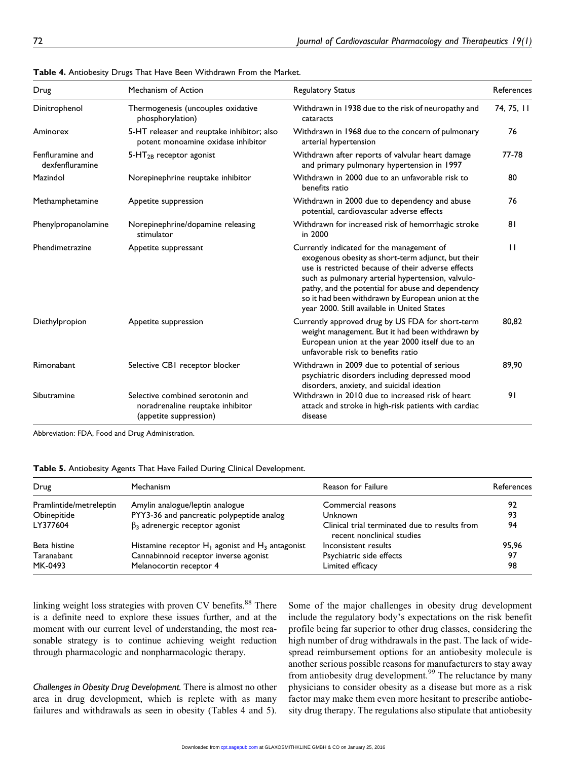| Drug                                | Mechanism of Action                                                                            | <b>Regulatory Status</b>                                                                                                                                                                                                                                                                                                                                            | References   |
|-------------------------------------|------------------------------------------------------------------------------------------------|---------------------------------------------------------------------------------------------------------------------------------------------------------------------------------------------------------------------------------------------------------------------------------------------------------------------------------------------------------------------|--------------|
| Dinitrophenol                       | Thermogenesis (uncouples oxidative<br>phosphorylation)                                         | Withdrawn in 1938 due to the risk of neuropathy and<br>cataracts                                                                                                                                                                                                                                                                                                    | 74, 75, 11   |
| Aminorex                            | 5-HT releaser and reuptake inhibitor; also<br>potent monoamine oxidase inhibitor               | Withdrawn in 1968 due to the concern of pulmonary<br>arterial hypertension                                                                                                                                                                                                                                                                                          | 76           |
| Fenfluramine and<br>dexfenfluramine | $5-HT2B$ receptor agonist                                                                      | Withdrawn after reports of valvular heart damage<br>and primary pulmonary hypertension in 1997                                                                                                                                                                                                                                                                      | 77-78        |
| Mazindol                            | Norepinephrine reuptake inhibitor                                                              | Withdrawn in 2000 due to an unfavorable risk to<br>benefits ratio                                                                                                                                                                                                                                                                                                   | 80           |
| Methamphetamine                     | Appetite suppression                                                                           | Withdrawn in 2000 due to dependency and abuse<br>potential, cardiovascular adverse effects                                                                                                                                                                                                                                                                          | 76           |
| Phenylpropanolamine                 | Norepinephrine/dopamine releasing<br>stimulator                                                | Withdrawn for increased risk of hemorrhagic stroke<br>in 2000                                                                                                                                                                                                                                                                                                       | 81           |
| Phendimetrazine                     | Appetite suppressant                                                                           | Currently indicated for the management of<br>exogenous obesity as short-term adjunct, but their<br>use is restricted because of their adverse effects<br>such as pulmonary arterial hypertension, valvulo-<br>pathy, and the potential for abuse and dependency<br>so it had been withdrawn by European union at the<br>year 2000. Still available in United States | $\mathbf{I}$ |
| Diethylpropion                      | Appetite suppression                                                                           | Currently approved drug by US FDA for short-term<br>weight management. But it had been withdrawn by<br>European union at the year 2000 itself due to an<br>unfavorable risk to benefits ratio                                                                                                                                                                       | 80,82        |
| Rimonabant                          | Selective CBI receptor blocker                                                                 | Withdrawn in 2009 due to potential of serious<br>psychiatric disorders including depressed mood<br>disorders, anxiety, and suicidal ideation                                                                                                                                                                                                                        | 89,90        |
| Sibutramine                         | Selective combined serotonin and<br>noradrenaline reuptake inhibitor<br>(appetite suppression) | Withdrawn in 2010 due to increased risk of heart<br>attack and stroke in high-risk patients with cardiac<br>disease                                                                                                                                                                                                                                                 | 91           |

| Table 4. Antiobesity Drugs That Have Been Withdrawn From the Market. |  |
|----------------------------------------------------------------------|--|
|----------------------------------------------------------------------|--|

Abbreviation: FDA, Food and Drug Administration.

| Drug                    | Mechanism                                             | Reason for Failure                                                          | References |
|-------------------------|-------------------------------------------------------|-----------------------------------------------------------------------------|------------|
| Pramlintide/metreleptin | Amylin analogue/leptin analogue                       | Commercial reasons                                                          | 92         |
| Obinepitide             | PYY3-36 and pancreatic polypeptide analog             | Unknown                                                                     | 93         |
| LY377604                | $\beta_3$ adrenergic receptor agonist                 | Clinical trial terminated due to results from<br>recent nonclinical studies | 94         |
| Beta histine            | Histamine receptor $H_1$ agonist and $H_3$ antagonist | Inconsistent results                                                        | 95.96      |
| Taranabant              | Cannabinnoid receptor inverse agonist                 | Psychiatric side effects                                                    | 97         |
| MK-0493                 | Melanocortin receptor 4                               | Limited efficacy                                                            | 98         |

linking weight loss strategies with proven CV benefits.<sup>88</sup> There is a definite need to explore these issues further, and at the moment with our current level of understanding, the most reasonable strategy is to continue achieving weight reduction through pharmacologic and nonpharmacologic therapy.

Challenges in Obesity Drug Development. There is almost no other area in drug development, which is replete with as many failures and withdrawals as seen in obesity (Tables 4 and 5).

Some of the major challenges in obesity drug development include the regulatory body's expectations on the risk benefit profile being far superior to other drug classes, considering the high number of drug withdrawals in the past. The lack of widespread reimbursement options for an antiobesity molecule is another serious possible reasons for manufacturers to stay away from antiobesity drug development.<sup>99</sup> The reluctance by many physicians to consider obesity as a disease but more as a risk factor may make them even more hesitant to prescribe antiobesity drug therapy. The regulations also stipulate that antiobesity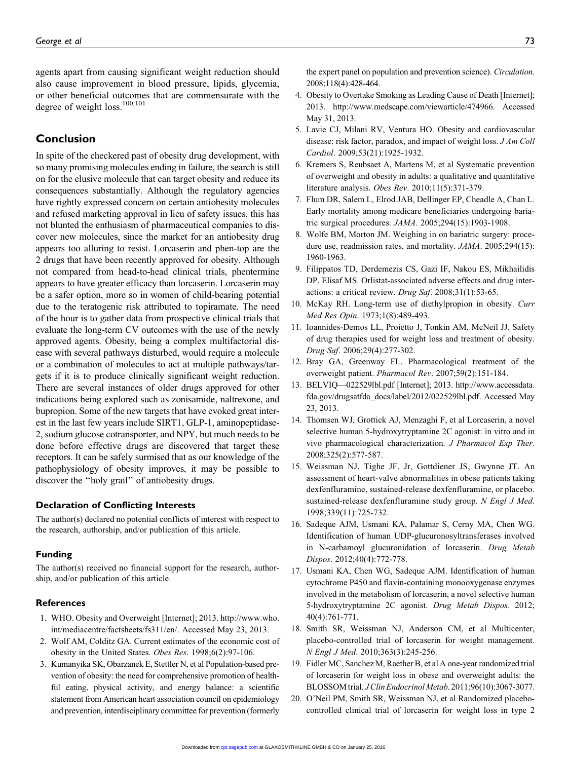agents apart from causing significant weight reduction should also cause improvement in blood pressure, lipids, glycemia, or other beneficial outcomes that are commensurate with the degree of weight loss.<sup>100,101</sup>

## Conclusion

In spite of the checkered past of obesity drug development, with so many promising molecules ending in failure, the search is still on for the elusive molecule that can target obesity and reduce its consequences substantially. Although the regulatory agencies have rightly expressed concern on certain antiobesity molecules and refused marketing approval in lieu of safety issues, this has not blunted the enthusiasm of pharmaceutical companies to discover new molecules, since the market for an antiobesity drug appears too alluring to resist. Lorcaserin and phen-top are the 2 drugs that have been recently approved for obesity. Although not compared from head-to-head clinical trials, phentermine appears to have greater efficacy than lorcaserin. Lorcaserin may be a safer option, more so in women of child-bearing potential due to the teratogenic risk attributed to topiramate. The need of the hour is to gather data from prospective clinical trials that evaluate the long-term CV outcomes with the use of the newly approved agents. Obesity, being a complex multifactorial disease with several pathways disturbed, would require a molecule or a combination of molecules to act at multiple pathways/targets if it is to produce clinically significant weight reduction. There are several instances of older drugs approved for other indications being explored such as zonisamide, naltrexone, and bupropion. Some of the new targets that have evoked great interest in the last few years include SIRT1, GLP-1, aminopeptidase-2, sodium glucose cotransporter, and NPY, but much needs to be done before effective drugs are discovered that target these receptors. It can be safely surmised that as our knowledge of the pathophysiology of obesity improves, it may be possible to discover the ''holy grail'' of antiobesity drugs.

#### Declaration of Conflicting Interests

The author(s) declared no potential conflicts of interest with respect to the research, authorship, and/or publication of this article.

#### Funding

The author(s) received no financial support for the research, authorship, and/or publication of this article.

#### **References**

- 1. WHO. Obesity and Overweight [Internet]; 2013. [http://www.who.](http://www.who.int/mediacentre/factsheets/fs311/en/) [int/mediacentre/factsheets/fs311/en/.](http://www.who.int/mediacentre/factsheets/fs311/en/) Accessed May 23, 2013.
- 2. Wolf AM, Colditz GA. Current estimates of the economic cost of obesity in the United States. Obes Res. 1998;6(2):97-106.
- 3. Kumanyika SK, Obarzanek E, Stettler N, et al Population-based prevention of obesity: the need for comprehensive promotion of healthful eating, physical activity, and energy balance: a scientific statement from American heart association council on epidemiology and prevention, interdisciplinary committee for prevention (formerly

the expert panel on population and prevention science). Circulation. 2008;118(4):428-464.

- 4. Obesity to Overtake Smoking as Leading Cause of Death [Internet]; 2013. [http://www.medscape.com/viewarticle/474966.](http://www.medscape.com/viewarticle/474966) Accessed May 31, 2013.
- 5. Lavie CJ, Milani RV, Ventura HO. Obesity and cardiovascular disease: risk factor, paradox, and impact of weight loss. J Am Coll Cardiol. 2009;53(21):1925-1932.
- 6. Kremers S, Reubsaet A, Martens M, et al Systematic prevention of overweight and obesity in adults: a qualitative and quantitative literature analysis. Obes Rev. 2010;11(5):371-379.
- 7. Flum DR, Salem L, Elrod JAB, Dellinger EP, Cheadle A, Chan L. Early mortality among medicare beneficiaries undergoing bariatric surgical procedures. JAMA. 2005;294(15):1903-1908.
- 8. Wolfe BM, Morton JM. Weighing in on bariatric surgery: procedure use, readmission rates, and mortality. JAMA. 2005;294(15): 1960-1963.
- 9. Filippatos TD, Derdemezis CS, Gazi IF, Nakou ES, Mikhailidis DP, Elisaf MS. Orlistat-associated adverse effects and drug interactions: a critical review. Drug Saf. 2008;31(1):53-65.
- 10. McKay RH. Long-term use of diethylpropion in obesity. Curr Med Res Opin. 1973;1(8):489-493.
- 11. Ioannides-Demos LL, Proietto J, Tonkin AM, McNeil JJ. Safety of drug therapies used for weight loss and treatment of obesity. Drug Saf. 2006;29(4):277-302.
- 12. Bray GA, Greenway FL. Pharmacological treatment of the overweight patient. Pharmacol Rev. 2007;59(2):151-184.
- 13. BELVIQ—022529lbl.pdf [Internet]; 2013. [http://www.accessdata.](http://www.accessdata.fda.gov/drugsatfda_docs/label/2012/022529lbl.pdf.) [fda.gov/drugsatfda\\_docs/label/2012/022529lbl.pdf.](http://www.accessdata.fda.gov/drugsatfda_docs/label/2012/022529lbl.pdf.) Accessed May 23, 2013.
- 14. Thomsen WJ, Grottick AJ, Menzaghi F, et al Lorcaserin, a novel selective human 5-hydroxytryptamine 2C agonist: in vitro and in vivo pharmacological characterization. J Pharmacol Exp Ther. 2008;325(2):577-587.
- 15. Weissman NJ, Tighe JF, Jr, Gottdiener JS, Gwynne JT. An assessment of heart-valve abnormalities in obese patients taking dexfenfluramine, sustained-release dexfenfluramine, or placebo. sustained-release dexfenfluramine study group. N Engl J Med. 1998;339(11):725-732.
- 16. Sadeque AJM, Usmani KA, Palamar S, Cerny MA, Chen WG. Identification of human UDP-glucuronosyltransferases involved in N-carbamoyl glucuronidation of lorcaserin. Drug Metab Dispos. 2012;40(4):772-778.
- 17. Usmani KA, Chen WG, Sadeque AJM. Identification of human cytochrome P450 and flavin-containing monooxygenase enzymes involved in the metabolism of lorcaserin, a novel selective human 5-hydroxytryptamine 2C agonist. Drug Metab Dispos. 2012; 40(4):761-771.
- 18. Smith SR, Weissman NJ, Anderson CM, et al Multicenter, placebo-controlled trial of lorcaserin for weight management. N Engl J Med. 2010;363(3):245-256.
- 19. Fidler MC, Sanchez M, Raether B, et al A one-year randomized trial of lorcaserin for weight loss in obese and overweight adults: the BLOSSOMtrial. J Clin Endocrinol Metab. 2011;96(10):3067-3077.
- 20. O'Neil PM, Smith SR, Weissman NJ, et al Randomized placebocontrolled clinical trial of lorcaserin for weight loss in type 2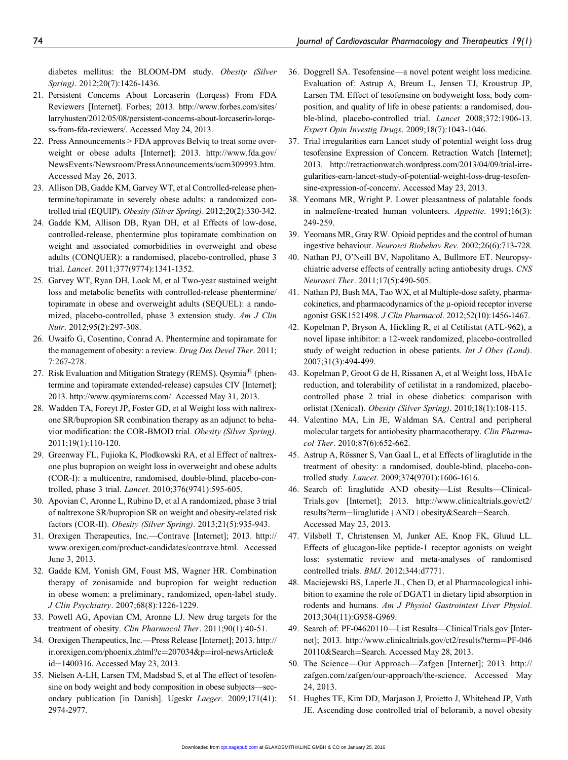diabetes mellitus: the BLOOM-DM study. Obesity (Silver Spring). 2012;20(7):1426-1436.

- 21. Persistent Concerns About Lorcaserin (Lorqess) From FDA Reviewers [Internet]. Forbes; 2013. [http://www.forbes.com/sites/](http://www.forbes.com/sites/larryhusten/2012/05/08/persistent-concerns-about-lorcaserin-lorqess-from-fda-reviewers/.) [larryhusten/2012/05/08/persistent-concerns-about-lorcaserin-lorqe](http://www.forbes.com/sites/larryhusten/2012/05/08/persistent-concerns-about-lorcaserin-lorqess-from-fda-reviewers/.)[ss-from-fda-reviewers/.](http://www.forbes.com/sites/larryhusten/2012/05/08/persistent-concerns-about-lorcaserin-lorqess-from-fda-reviewers/.) Accessed May 24, 2013.
- 22. Press Announcements > FDA approves Belviq to treat some overweight or obese adults [Internet]; 2013. [http://www.fda.gov/](http://www.fda.gov/NewsEvents/Newsroom/PressAnnouncements/ucm309993.htm.) [NewsEvents/Newsroom/PressAnnouncements/ucm309993.htm.](http://www.fda.gov/NewsEvents/Newsroom/PressAnnouncements/ucm309993.htm.) Accessed May 26, 2013.
- 23. Allison DB, Gadde KM, Garvey WT, et al Controlled-release phentermine/topiramate in severely obese adults: a randomized controlled trial (EQUIP). Obesity (Silver Spring). 2012;20(2):330-342.
- 24. Gadde KM, Allison DB, Ryan DH, et al Effects of low-dose, controlled-release, phentermine plus topiramate combination on weight and associated comorbidities in overweight and obese adults (CONQUER): a randomised, placebo-controlled, phase 3 trial. Lancet. 2011;377(9774):1341-1352.
- 25. Garvey WT, Ryan DH, Look M, et al Two-year sustained weight loss and metabolic benefits with controlled-release phentermine/ topiramate in obese and overweight adults (SEQUEL): a randomized, placebo-controlled, phase 3 extension study. Am J Clin Nutr. 2012;95(2):297-308.
- 26. Uwaifo G, Cosentino, Conrad A. Phentermine and topiramate for the management of obesity: a review. Drug Des Devel Ther. 2011; 7:267-278.
- 27. Risk Evaluation and Mitigation Strategy (REMS). Qsymia<sup>®</sup> (phentermine and topiramate extended-release) capsules CIV [Internet]; 2013.<http://www.qsymiarems.com/.> Accessed May 31, 2013.
- 28. Wadden TA, Foreyt JP, Foster GD, et al Weight loss with naltrexone SR/bupropion SR combination therapy as an adjunct to behavior modification: the COR-BMOD trial. Obesity (Silver Spring). 2011;19(1):110-120.
- 29. Greenway FL, Fujioka K, Plodkowski RA, et al Effect of naltrexone plus bupropion on weight loss in overweight and obese adults (COR-I): a multicentre, randomised, double-blind, placebo-controlled, phase 3 trial. Lancet. 2010;376(9741):595-605.
- 30. Apovian C, Aronne L, Rubino D, et al A randomized, phase 3 trial of naltrexone SR/bupropion SR on weight and obesity-related risk factors (COR-II). Obesity (Silver Spring). 2013;21(5):935-943.
- 31. Orexigen Therapeutics, Inc.—Contrave [Internet]; 2013. [http://](http://www.orexigen.com/product-candidates/contrave.html.) [www.orexigen.com/product-candidates/contrave.html.](http://www.orexigen.com/product-candidates/contrave.html.) Accessed June 3, 2013.
- 32. Gadde KM, Yonish GM, Foust MS, Wagner HR. Combination therapy of zonisamide and bupropion for weight reduction in obese women: a preliminary, randomized, open-label study. J Clin Psychiatry. 2007;68(8):1226-1229.
- 33. Powell AG, Apovian CM, Aronne LJ. New drug targets for the treatment of obesity. Clin Pharmacol Ther. 2011;90(1):40-51.
- 34. Orexigen Therapeutics, Inc.—Press Release [Internet]; 2013. [http://](http://ir.orexigen.com/phoenix.zhtml?c=207034&p=irol-newsArticle&id=1400316.) [ir.orexigen.com/phoenix.zhtml?c](http://ir.orexigen.com/phoenix.zhtml?c=207034&p=irol-newsArticle&id=1400316.)=[207034&p](http://ir.orexigen.com/phoenix.zhtml?c=207034&p=irol-newsArticle&id=1400316.)=[irol-newsArticle&](http://ir.orexigen.com/phoenix.zhtml?c=207034&p=irol-newsArticle&id=1400316.) [id](http://ir.orexigen.com/phoenix.zhtml?c=207034&p=irol-newsArticle&id=1400316.)=[1400316.](http://ir.orexigen.com/phoenix.zhtml?c=207034&p=irol-newsArticle&id=1400316.) Accessed May 23, 2013.
- 35. Nielsen A-LH, Larsen TM, Madsbad S, et al The effect of tesofensine on body weight and body composition in obese subjects—secondary publication [in Danish]. Ugeskr Laeger. 2009;171(41): 2974-2977.
- 36. Doggrell SA. Tesofensine—a novel potent weight loss medicine. Evaluation of: Astrup A, Breum L, Jensen TJ, Kroustrup JP, Larsen TM. Effect of tesofensine on bodyweight loss, body composition, and quality of life in obese patients: a randomised, double-blind, placebo-controlled trial. Lancet 2008;372:1906-13. Expert Opin Investig Drugs. 2009;18(7):1043-1046.
- 37. Trial irregularities earn Lancet study of potential weight loss drug tesofensine Expression of Concern. Retraction Watch [Internet]; 2013. [http://retractionwatch.wordpress.com/2013/04/09/trial-irre](http://retractionwatch.wordpress.com/2013/04/09/trial-irregularities-earn-lancet-study-of-potential-weight-loss-drug-tesofensine-expression-of-concern/.)[gularities-earn-lancet-study-of-potential-weight-loss-drug-tesofen](http://retractionwatch.wordpress.com/2013/04/09/trial-irregularities-earn-lancet-study-of-potential-weight-loss-drug-tesofensine-expression-of-concern/.)[sine-expression-of-concern/.](http://retractionwatch.wordpress.com/2013/04/09/trial-irregularities-earn-lancet-study-of-potential-weight-loss-drug-tesofensine-expression-of-concern/.) Accessed May 23, 2013.
- 38. Yeomans MR, Wright P. Lower pleasantness of palatable foods in nalmefene-treated human volunteers. Appetite. 1991;16(3): 249-259.
- 39. Yeomans MR, Gray RW. Opioid peptides and the control of human ingestive behaviour. Neurosci Biobehav Rev. 2002;26(6):713-728.
- 40. Nathan PJ, O'Neill BV, Napolitano A, Bullmore ET. Neuropsychiatric adverse effects of centrally acting antiobesity drugs. CNS Neurosci Ther. 2011;17(5):490-505.
- 41. Nathan PJ, Bush MA, Tao WX, et al Multiple-dose safety, pharma $c$ okinetics, and pharmacodynamics of the  $\mu$ -opioid receptor inverse agonist GSK1521498. J Clin Pharmacol. 2012;52(10):1456-1467.
- 42. Kopelman P, Bryson A, Hickling R, et al Cetilistat (ATL-962), a novel lipase inhibitor: a 12-week randomized, placebo-controlled study of weight reduction in obese patients. Int J Obes (Lond). 2007;31(3):494-499.
- 43. Kopelman P, Groot G de H, Rissanen A, et al Weight loss, HbA1c reduction, and tolerability of cetilistat in a randomized, placebocontrolled phase 2 trial in obese diabetics: comparison with orlistat (Xenical). Obesity (Silver Spring). 2010;18(1):108-115.
- 44. Valentino MA, Lin JE, Waldman SA. Central and peripheral molecular targets for antiobesity pharmacotherapy. Clin Pharmacol Ther. 2010;87(6):652-662.
- 45. Astrup A, Rössner S, Van Gaal L, et al Effects of liraglutide in the treatment of obesity: a randomised, double-blind, placebo-controlled study. Lancet. 2009;374(9701):1606-1616.
- 46. Search of: liraglutide AND obesity—List Results—Clinical-Trials.gov [Internet]; 2013. [http://www.clinicaltrials.gov/ct2/](http://www.clinicaltrials.gov/ct2/results?term=liraglutide+AND+obesity&Search=Search.) [results?term](http://www.clinicaltrials.gov/ct2/results?term=liraglutide+AND+obesity&Search=Search.)=[liraglutide](http://www.clinicaltrials.gov/ct2/results?term=liraglutide+AND+obesity&Search=Search.)+[AND](http://www.clinicaltrials.gov/ct2/results?term=liraglutide+AND+obesity&Search=Search.)+[obesity&Search](http://www.clinicaltrials.gov/ct2/results?term=liraglutide+AND+obesity&Search=Search.)=[Search.](http://www.clinicaltrials.gov/ct2/results?term=liraglutide+AND+obesity&Search=Search.) Accessed May 23, 2013.
- 47. Vilsbøll T, Christensen M, Junker AE, Knop FK, Gluud LL. Effects of glucagon-like peptide-1 receptor agonists on weight loss: systematic review and meta-analyses of randomised controlled trials. BMJ. 2012;344:d7771.
- 48. Maciejewski BS, Laperle JL, Chen D, et al Pharmacological inhibition to examine the role of DGAT1 in dietary lipid absorption in rodents and humans. Am J Physiol Gastrointest Liver Physiol. 2013;304(11):G958-G969.
- 49. Search of: PF-04620110—List Results—ClinicalTrials.gov [Internet]; 2013. [http://www.clinicaltrials.gov/ct2/results?term](http://www.clinicaltrials.gov/ct2/results?term=PF-04620110&Search=Search.)=[PF-046](http://www.clinicaltrials.gov/ct2/results?term=PF-04620110&Search=Search.) [20110&Search](http://www.clinicaltrials.gov/ct2/results?term=PF-04620110&Search=Search.)=[Search.](http://www.clinicaltrials.gov/ct2/results?term=PF-04620110&Search=Search.) Accessed May 28, 2013.
- 50. The Science—Our Approach—Zafgen [Internet]; 2013. [http://](http://zafgen.com/zafgen/our-approach/the-science.) [zafgen.com/zafgen/our-approach/the-science.](http://zafgen.com/zafgen/our-approach/the-science.) Accessed May 24, 2013.
- 51. Hughes TE, Kim DD, Marjason J, Proietto J, Whitehead JP, Vath JE. Ascending dose controlled trial of beloranib, a novel obesity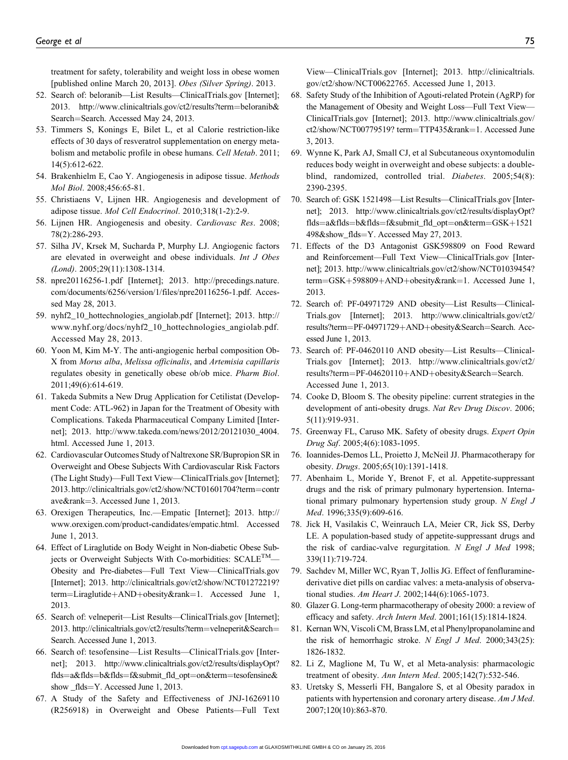treatment for safety, tolerability and weight loss in obese women [published online March 20, 2013]. Obes (Silver Spring). 2013.

- 52. Search of: beloranib—List Results—ClinicalTrials.gov [Internet]; 2013. [http://www.clinicaltrials.gov/ct2/results?term](http://www.clinicaltrials.gov/ct2/results?term=beloranib&Search=Search.)=[beloranib&](http://www.clinicaltrials.gov/ct2/results?term=beloranib&Search=Search.) [Search](http://www.clinicaltrials.gov/ct2/results?term=beloranib&Search=Search.)=[Search.](http://www.clinicaltrials.gov/ct2/results?term=beloranib&Search=Search.) Accessed May 24, 2013.
- 53. Timmers S, Konings E, Bilet L, et al Calorie restriction-like effects of 30 days of resveratrol supplementation on energy metabolism and metabolic profile in obese humans. Cell Metab. 2011; 14(5):612-622.
- 54. Brakenhielm E, Cao Y. Angiogenesis in adipose tissue. Methods Mol Biol. 2008;456:65-81.
- 55. Christiaens V, Lijnen HR. Angiogenesis and development of adipose tissue. Mol Cell Endocrinol. 2010;318(1-2):2-9.
- 56. Lijnen HR. Angiogenesis and obesity. Cardiovasc Res. 2008; 78(2):286-293.
- 57. Silha JV, Krsek M, Sucharda P, Murphy LJ. Angiogenic factors are elevated in overweight and obese individuals. Int J Obes (Lond). 2005;29(11):1308-1314.
- 58. npre20116256-1.pdf [Internet]; 2013. [http://precedings.nature.](http://precedings.nature.com/documents/6256/version/1/files/npre20116256-1.pdf.) [com/documents/6256/version/1/files/npre20116256-1.pdf.](http://precedings.nature.com/documents/6256/version/1/files/npre20116256-1.pdf.) Accessed May 28, 2013.
- 59. nyhf2\_10\_hottechnologies\_angiolab.pdf [Internet]; 2013. [http://](http://www.nyhf.org/docs/nyhf2_10_hottechnologies_angiolab.pdf.) [www.nyhf.org/docs/nyhf2\\_10\\_hottechnologies\\_angiolab.pdf.](http://www.nyhf.org/docs/nyhf2_10_hottechnologies_angiolab.pdf.) Accessed May 28, 2013.
- 60. Yoon M, Kim M-Y. The anti-angiogenic herbal composition Ob-X from Morus alba, Melissa officinalis, and Artemisia capillaris regulates obesity in genetically obese ob/ob mice. Pharm Biol. 2011;49(6):614-619.
- 61. Takeda Submits a New Drug Application for Cetilistat (Development Code: ATL-962) in Japan for the Treatment of Obesity with Complications. Takeda Pharmaceutical Company Limited [Internet]; 2013. [http://www.takeda.com/news/2012/20121030\\_4004.](http://www.takeda.com/news/2012/20121030_4004.html.) [html.](http://www.takeda.com/news/2012/20121030_4004.html.) Accessed June 1, 2013.
- 62. Cardiovascular Outcomes Study of Naltrexone SR/Bupropion SR in Overweight and Obese Subjects With Cardiovascular Risk Factors (The Light Study)—Full Text View—ClinicalTrials.gov [Internet]; 2013. [http://clinicaltrials.gov/ct2/show/NCT01601704?term](http://clinicaltrials.gov/ct2/show/NCT01601704?term=contrave&rank=3)=[contr](http://clinicaltrials.gov/ct2/show/NCT01601704?term=contrave&rank=3) [ave&rank](http://clinicaltrials.gov/ct2/show/NCT01601704?term=contrave&rank=3)=[3.](http://clinicaltrials.gov/ct2/show/NCT01601704?term=contrave&rank=3) Accessed June 1, 2013.
- 63. Orexigen Therapeutics, Inc.—Empatic [Internet]; 2013. [http://](http://www.orexigen.com/product-candidates/empatic.html.) [www.orexigen.com/product-candidates/empatic.html.](http://www.orexigen.com/product-candidates/empatic.html.) Accessed June 1, 2013.
- 64. Effect of Liraglutide on Body Weight in Non-diabetic Obese Subjects or Overweight Subjects With Co-morbidities: SCALE<sup>TM</sup>-Obesity and Pre-diabetes—Full Text View—ClinicalTrials.gov [Internet]; 2013. [http://clinicaltrials.gov/ct2/show/NCT01272219?](http://clinicaltrials.gov/ct2/show/NCT01272219?term=Liraglutide+AND+obesity&rank=1.) [term](http://clinicaltrials.gov/ct2/show/NCT01272219?term=Liraglutide+AND+obesity&rank=1.)=[Liraglutide](http://clinicaltrials.gov/ct2/show/NCT01272219?term=Liraglutide+AND+obesity&rank=1.)+[AND](http://clinicaltrials.gov/ct2/show/NCT01272219?term=Liraglutide+AND+obesity&rank=1.)+[obesity&rank](http://clinicaltrials.gov/ct2/show/NCT01272219?term=Liraglutide+AND+obesity&rank=1.)=[1.](http://clinicaltrials.gov/ct2/show/NCT01272219?term=Liraglutide+AND+obesity&rank=1.) Accessed June 1, 2013.
- 65. Search of: velneperit—List Results—ClinicalTrials.gov [Internet]; 2013. [http://clinicaltrials.gov/ct2/results?term](http://clinicaltrials.gov/ct2/results?term=velneperit&Search=Search.)=[velneperit&Search](http://clinicaltrials.gov/ct2/results?term=velneperit&Search=Search.)= [Search.](http://clinicaltrials.gov/ct2/results?term=velneperit&Search=Search.) Accessed June 1, 2013.
- 66. Search of: tesofensine—List Results—ClinicalTrials.gov [Internet]; 2013. [http://www.clinicaltrials.gov/ct2/results/displayOpt?](http://www.clinicaltrials.gov/ct2/results/displayOpt?flds=a&flds=b&flds=f&submit_fld_opt=on&term=tesofensine&show_flds=Y.) [flds](http://www.clinicaltrials.gov/ct2/results/displayOpt?flds=a&flds=b&flds=f&submit_fld_opt=on&term=tesofensine&show_flds=Y.)=[a&flds](http://www.clinicaltrials.gov/ct2/results/displayOpt?flds=a&flds=b&flds=f&submit_fld_opt=on&term=tesofensine&show_flds=Y.)=[b&flds](http://www.clinicaltrials.gov/ct2/results/displayOpt?flds=a&flds=b&flds=f&submit_fld_opt=on&term=tesofensine&show_flds=Y.)=[f&submit\\_fld\\_opt](http://www.clinicaltrials.gov/ct2/results/displayOpt?flds=a&flds=b&flds=f&submit_fld_opt=on&term=tesofensine&show_flds=Y.)=[on&term](http://www.clinicaltrials.gov/ct2/results/displayOpt?flds=a&flds=b&flds=f&submit_fld_opt=on&term=tesofensine&show_flds=Y.)=[tesofensine&](http://www.clinicaltrials.gov/ct2/results/displayOpt?flds=a&flds=b&flds=f&submit_fld_opt=on&term=tesofensine&show_flds=Y.) [show \\_flds](http://www.clinicaltrials.gov/ct2/results/displayOpt?flds=a&flds=b&flds=f&submit_fld_opt=on&term=tesofensine&show_flds=Y.)=[Y.](http://www.clinicaltrials.gov/ct2/results/displayOpt?flds=a&flds=b&flds=f&submit_fld_opt=on&term=tesofensine&show_flds=Y.) Accessed June 1, 2013.
- 67. A Study of the Safety and Effectiveness of JNJ-16269110 (R256918) in Overweight and Obese Patients—Full Text

View—ClinicalTrials.gov [Internet]; 2013. [http://clinicaltrials.](http://clinicaltrials.gov/ct2/show/NCT00622765) [gov/ct2/show/NCT00622765](http://clinicaltrials.gov/ct2/show/NCT00622765). Accessed June 1, 2013.

- 68. Safety Study of the Inhibition of Agouti-related Protein (AgRP) for the Management of Obesity and Weight Loss—Full Text View— ClinicalTrials.gov [Internet]; 2013. [http://www.clinicaltrials.gov/](http://www.clinicaltrials.gov/ct2/show/NCT00779519? term=TTP435&rank=1) [ct2/show/NCT00779519? term](http://www.clinicaltrials.gov/ct2/show/NCT00779519? term=TTP435&rank=1)=[TTP435&rank](http://www.clinicaltrials.gov/ct2/show/NCT00779519? term=TTP435&rank=1)=[1.](http://www.clinicaltrials.gov/ct2/show/NCT00779519? term=TTP435&rank=1) Accessed June 3, 2013.
- 69. Wynne K, Park AJ, Small CJ, et al Subcutaneous oxyntomodulin reduces body weight in overweight and obese subjects: a doubleblind, randomized, controlled trial. Diabetes. 2005;54(8): 2390-2395.
- 70. Search of: GSK 1521498—List Results—ClinicalTrials.gov [Internet]; 2013. [http://www.clinicaltrials.gov/ct2/results/displayOpt?](http://www.clinicaltrials.gov/ct2/results/displayOpt?flds=a&flds=b&flds=f&submit_fld_opt=on&term=GSK+1521498&show_flds=Y.) [flds](http://www.clinicaltrials.gov/ct2/results/displayOpt?flds=a&flds=b&flds=f&submit_fld_opt=on&term=GSK+1521498&show_flds=Y.)=[a&flds](http://www.clinicaltrials.gov/ct2/results/displayOpt?flds=a&flds=b&flds=f&submit_fld_opt=on&term=GSK+1521498&show_flds=Y.)=[b&flds](http://www.clinicaltrials.gov/ct2/results/displayOpt?flds=a&flds=b&flds=f&submit_fld_opt=on&term=GSK+1521498&show_flds=Y.)=[f&submit\\_fld\\_opt](http://www.clinicaltrials.gov/ct2/results/displayOpt?flds=a&flds=b&flds=f&submit_fld_opt=on&term=GSK+1521498&show_flds=Y.)=[on&term](http://www.clinicaltrials.gov/ct2/results/displayOpt?flds=a&flds=b&flds=f&submit_fld_opt=on&term=GSK+1521498&show_flds=Y.)=[GSK](http://www.clinicaltrials.gov/ct2/results/displayOpt?flds=a&flds=b&flds=f&submit_fld_opt=on&term=GSK+1521498&show_flds=Y.)+[1521](http://www.clinicaltrials.gov/ct2/results/displayOpt?flds=a&flds=b&flds=f&submit_fld_opt=on&term=GSK+1521498&show_flds=Y.) [498&show\\_flds](http://www.clinicaltrials.gov/ct2/results/displayOpt?flds=a&flds=b&flds=f&submit_fld_opt=on&term=GSK+1521498&show_flds=Y.)=[Y.](http://www.clinicaltrials.gov/ct2/results/displayOpt?flds=a&flds=b&flds=f&submit_fld_opt=on&term=GSK+1521498&show_flds=Y.) Accessed May 27, 2013.
- 71. Effects of the D3 Antagonist GSK598809 on Food Reward and Reinforcement—Full Text View—ClinicalTrials.gov [Internet]; 2013. [http://www.clinicaltrials.gov/ct2/show/NCT01039454?](http://www.clinicaltrials.gov/ct2/show/NCT01039454?term=GSK+598809+AND+obesity&rank=1.) [term](http://www.clinicaltrials.gov/ct2/show/NCT01039454?term=GSK+598809+AND+obesity&rank=1.)=[GSK](http://www.clinicaltrials.gov/ct2/show/NCT01039454?term=GSK+598809+AND+obesity&rank=1.)+[598809](http://www.clinicaltrials.gov/ct2/show/NCT01039454?term=GSK+598809+AND+obesity&rank=1.)+[AND](http://www.clinicaltrials.gov/ct2/show/NCT01039454?term=GSK+598809+AND+obesity&rank=1.)+[obesity&rank](http://www.clinicaltrials.gov/ct2/show/NCT01039454?term=GSK+598809+AND+obesity&rank=1.)=[1.](http://www.clinicaltrials.gov/ct2/show/NCT01039454?term=GSK+598809+AND+obesity&rank=1.) Accessed June 1, 2013.
- 72. Search of: PF-04971729 AND obesity—List Results—Clinical-Trials.gov [Internet]; 2013. [http://www.clinicaltrials.gov/ct2/](http://www.clinicaltrials.gov/ct2/results?term=PF-04971729+AND+obesity&Search=Search.) [results?term](http://www.clinicaltrials.gov/ct2/results?term=PF-04971729+AND+obesity&Search=Search.)=[PF-04971729](http://www.clinicaltrials.gov/ct2/results?term=PF-04971729+AND+obesity&Search=Search.)+[AND](http://www.clinicaltrials.gov/ct2/results?term=PF-04971729+AND+obesity&Search=Search.)+[obesity&Search](http://www.clinicaltrials.gov/ct2/results?term=PF-04971729+AND+obesity&Search=Search.)=[Search.](http://www.clinicaltrials.gov/ct2/results?term=PF-04971729+AND+obesity&Search=Search.) Accessed June 1, 2013.
- 73. Search of: PF-04620110 AND obesity—List Results—Clinical-Trials.gov [Internet]; 2013. [http://www.clinicaltrials.gov/ct2/](http://www.clinicaltrials.gov/ct2/results?term=PF-04620110+AND+obesity&Search=Search.) [results?term](http://www.clinicaltrials.gov/ct2/results?term=PF-04620110+AND+obesity&Search=Search.)=[PF-04620110](http://www.clinicaltrials.gov/ct2/results?term=PF-04620110+AND+obesity&Search=Search.)+[AND](http://www.clinicaltrials.gov/ct2/results?term=PF-04620110+AND+obesity&Search=Search.)+[obesity&Search](http://www.clinicaltrials.gov/ct2/results?term=PF-04620110+AND+obesity&Search=Search.)=[Search.](http://www.clinicaltrials.gov/ct2/results?term=PF-04620110+AND+obesity&Search=Search.) Accessed June 1, 2013.
- 74. Cooke D, Bloom S. The obesity pipeline: current strategies in the development of anti-obesity drugs. Nat Rev Drug Discov. 2006; 5(11):919-931.
- 75. Greenway FL, Caruso MK. Safety of obesity drugs. Expert Opin Drug Saf. 2005;4(6):1083-1095.
- 76. Ioannides-Demos LL, Proietto J, McNeil JJ. Pharmacotherapy for obesity. Drugs. 2005;65(10):1391-1418.
- 77. Abenhaim L, Moride Y, Brenot F, et al. Appetite-suppressant drugs and the risk of primary pulmonary hypertension. International primary pulmonary hypertension study group. N Engl J Med. 1996;335(9):609-616.
- 78. Jick H, Vasilakis C, Weinrauch LA, Meier CR, Jick SS, Derby LE. A population-based study of appetite-suppressant drugs and the risk of cardiac-valve regurgitation. N Engl J Med 1998; 339(11):719-724.
- 79. Sachdev M, Miller WC, Ryan T, Jollis JG. Effect of fenfluraminederivative diet pills on cardiac valves: a meta-analysis of observational studies. Am Heart J. 2002;144(6):1065-1073.
- 80. Glazer G. Long-term pharmacotherapy of obesity 2000: a review of efficacy and safety. Arch Intern Med. 2001;161(15):1814-1824.
- 81. KernanWN, Viscoli CM, Brass LM, et al Phenylpropanolamine and the risk of hemorrhagic stroke. N Engl J Med. 2000;343(25): 1826-1832.
- 82. Li Z, Maglione M, Tu W, et al Meta-analysis: pharmacologic treatment of obesity. Ann Intern Med. 2005;142(7):532-546.
- 83. Uretsky S, Messerli FH, Bangalore S, et al Obesity paradox in patients with hypertension and coronary artery disease. Am J Med. 2007;120(10):863-870.